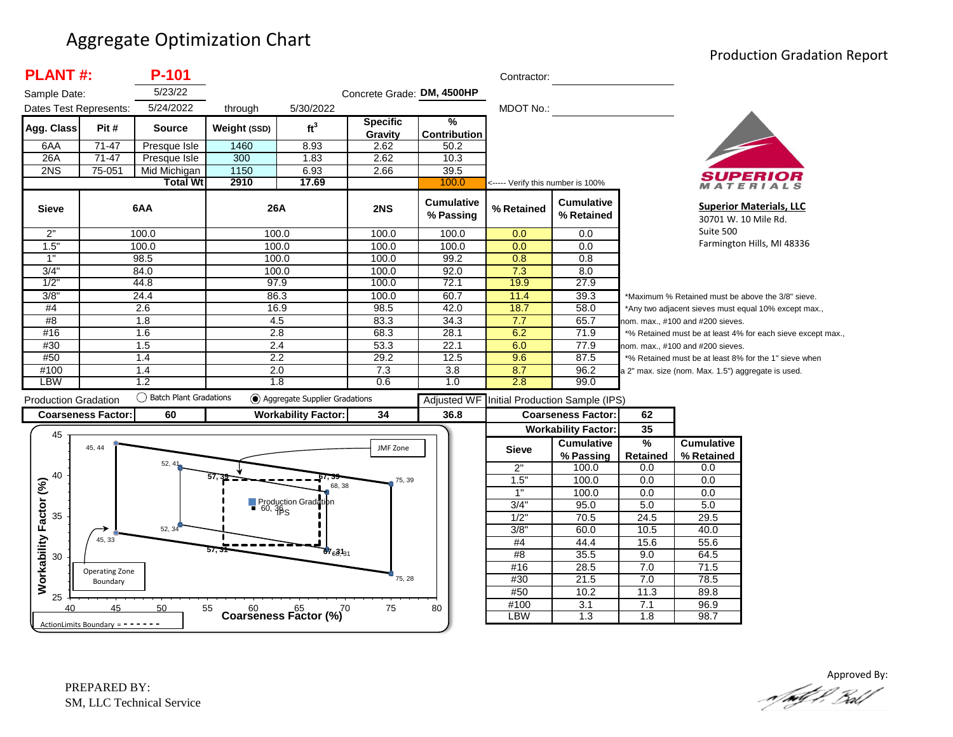#### Aggregate Optimization Chart

#### Production Gradation Report

| <b>PLANT#:</b>              |                            | P-101                    |                         |                                         |                            |                                | Contractor:                       |                                 |                                                      |                                                    |                                                             |
|-----------------------------|----------------------------|--------------------------|-------------------------|-----------------------------------------|----------------------------|--------------------------------|-----------------------------------|---------------------------------|------------------------------------------------------|----------------------------------------------------|-------------------------------------------------------------|
| Sample Date:                |                            | 5/23/22                  |                         |                                         | Concrete Grade: DM, 4500HP |                                |                                   |                                 |                                                      |                                                    |                                                             |
| Dates Test Represents:      |                            | 5/24/2022                | through                 | 5/30/2022                               |                            |                                | <b>MDOT No.:</b>                  |                                 |                                                      |                                                    |                                                             |
| Agg. Class                  | Pit#                       | Source                   | Weight (SSD)            | ft <sup>3</sup>                         | <b>Specific</b><br>Gravity | $\%$<br><b>Contribution</b>    |                                   |                                 |                                                      |                                                    |                                                             |
| 6AA                         | 71-47                      | Presque Isle             | 1460                    | 8.93                                    | 2.62                       | 50.2                           |                                   |                                 |                                                      |                                                    |                                                             |
| 26A                         | 71-47                      | Presque Isle             | 300                     | 1.83                                    | 2.62                       | 10.3                           |                                   |                                 |                                                      |                                                    |                                                             |
| 2NS                         | 75-051                     | Mid Michigan             | 1150                    | 6.93                                    | 2.66                       | 39.5                           |                                   |                                 |                                                      |                                                    |                                                             |
|                             |                            | <b>Total Wt</b>          | 2910                    | 17.69                                   |                            | 100.0                          | <----- Verify this number is 100% |                                 |                                                      |                                                    | <b>RIALS</b>                                                |
| <b>Sieve</b>                |                            | 6AA                      | 26A                     |                                         | 2NS                        | <b>Cumulative</b><br>% Passing | % Retained                        | <b>Cumulative</b><br>% Retained |                                                      |                                                    | <b>Superior Materials, LLC</b><br>30701 W. 10 Mile Rd.      |
| 2"                          |                            | 100.0                    | 100.0                   |                                         | 100.0                      | 100.0                          | 0.0                               | 0.0                             |                                                      | Suite 500                                          |                                                             |
| 1.5"                        |                            | 100.0                    | 100.0                   |                                         | 100.0                      | 100.0                          | 0.0                               | 0.0                             |                                                      |                                                    | Farmington Hills, MI 48336                                  |
| 1"                          |                            | 98.5                     | 100.0                   |                                         | 100.0                      | 99.2                           | 0.8                               | 0.8                             |                                                      |                                                    |                                                             |
| 3/4                         |                            | 84.0                     | 100.0                   |                                         | 100.0                      | 92.0                           | 7.3                               | 8.0                             |                                                      |                                                    |                                                             |
| 1/2                         |                            | 44.8                     | 97.9                    |                                         | 100.0                      | 72.1                           | 19.9                              | 27.9                            |                                                      |                                                    |                                                             |
| 3/8'                        |                            | 24.4                     | 86.3                    |                                         | 100.0                      | 60.7                           | 11.4                              | 39.3                            |                                                      |                                                    | *Maximum % Retained must be above the 3/8" sieve.           |
| #4                          | 2.6                        |                          | 16.9                    |                                         | 98.5                       | 42.0                           | 18.7                              | 58.0                            | *Any two adjacent sieves must equal 10% except max., |                                                    |                                                             |
| #8                          |                            | 1.8                      | 4.5                     |                                         | 83.3                       | 34.3                           | 7.7                               | 65.7                            |                                                      | nom. max., #100 and #200 sieves.                   |                                                             |
| #16                         |                            | 1.6                      | $\overline{2.8}$        |                                         | 68.3                       | 28.1                           | 6.2                               | 71.9                            |                                                      |                                                    | *% Retained must be at least 4% for each sieve except max., |
| #30                         |                            | 1.5                      | 2.4                     |                                         | 53.3                       | 22.1                           | 6.0                               | 77.9                            |                                                      | nom. max., #100 and #200 sieves.                   |                                                             |
| #50                         |                            | 1.4                      | 2.2                     |                                         | 29.2                       | 12.5                           | 9.6                               | 87.5                            |                                                      |                                                    | *% Retained must be at least 8% for the 1" sieve when       |
| #100<br><b>LBW</b>          |                            | 1.4<br>1.2               | 2.0<br>$\overline{1.8}$ |                                         | 7.3<br>0.6                 | 3.8                            | 8.7<br>2.8                        | 96.2<br>99.0                    |                                                      | a 2" max. size (nom. Max. 1.5") aggregate is used. |                                                             |
|                             |                            |                          |                         |                                         |                            | 1.0                            |                                   |                                 |                                                      |                                                    |                                                             |
| <b>Production Gradation</b> |                            | ◯ Batch Plant Gradations |                         | Aggregate Supplier Gradations           |                            | <b>Adjusted WF</b>             |                                   | Initial Production Sample (IPS) |                                                      |                                                    |                                                             |
|                             | <b>Coarseness Factor:</b>  | 60                       |                         | <b>Workability Factor:</b>              | 34                         | 36.8                           |                                   | <b>Coarseness Factor:</b>       | 62                                                   |                                                    |                                                             |
|                             |                            |                          |                         |                                         |                            |                                |                                   | <b>Workability Factor:</b>      | 35                                                   |                                                    |                                                             |
| 45                          | 45, 44                     |                          |                         |                                         | JMF Zone                   |                                | <b>Sieve</b>                      | <b>Cumulative</b><br>% Passing  | $\frac{9}{6}$<br><b>Retained</b>                     | <b>Cumulative</b><br>% Retained                    |                                                             |
|                             |                            | 52, 4'                   |                         |                                         |                            |                                | 2"                                | 100.0                           | 0.0                                                  | 0.0                                                |                                                             |
| 40                          |                            |                          |                         |                                         | 75, 39                     |                                | 1.5"                              | 100.0                           | 0.0                                                  | 0.0                                                |                                                             |
|                             |                            |                          |                         | 68.38                                   |                            |                                | $\overline{1}$                    | 100.0                           | 0.0                                                  | 0.0                                                |                                                             |
|                             |                            |                          |                         | Production Gradation                    |                            |                                | 3/4"                              | 95.0                            | 5.0                                                  | 5.0                                                |                                                             |
| Factor (%)<br>35            |                            |                          |                         |                                         |                            |                                | $1/2$ "                           | 70.5                            | 24.5                                                 | 29.5                                               |                                                             |
|                             |                            | 52, 34                   |                         |                                         |                            |                                | 3/8"                              | 60.0                            | 10.5                                                 | 40.0                                               |                                                             |
|                             | 45, 33                     |                          |                         |                                         |                            |                                | #4                                | 44.4                            | 15.6                                                 | 55.6                                               |                                                             |
| 30                          |                            |                          | 57. 3                   | $67631_{31}$                            |                            |                                | #8                                | 35.5                            | 9.0                                                  | 64.5                                               |                                                             |
|                             |                            |                          |                         |                                         |                            |                                | #16                               | 28.5                            | 7.0                                                  | 71.5                                               |                                                             |
|                             |                            |                          |                         |                                         |                            |                                |                                   |                                 |                                                      |                                                    |                                                             |
|                             | Operating Zone<br>Boundary |                          |                         |                                         | 75, 28                     |                                | #30                               | 21.5                            | 7.0                                                  | 78.5                                               |                                                             |
| Workability                 |                            |                          |                         |                                         |                            |                                | #50                               | 10.2                            | 11.3                                                 | 89.8                                               |                                                             |
| 25<br>40                    | 45                         | 50                       | 55                      | $60$ $65$ $70$<br>Coarseness Factor (%) | 75                         | 80                             | #100<br><b>LBW</b>                | 3.1<br>1.3                      | 7.1<br>1.8                                           | 96.9<br>98.7                                       |                                                             |

Approved By:<br>Approved By: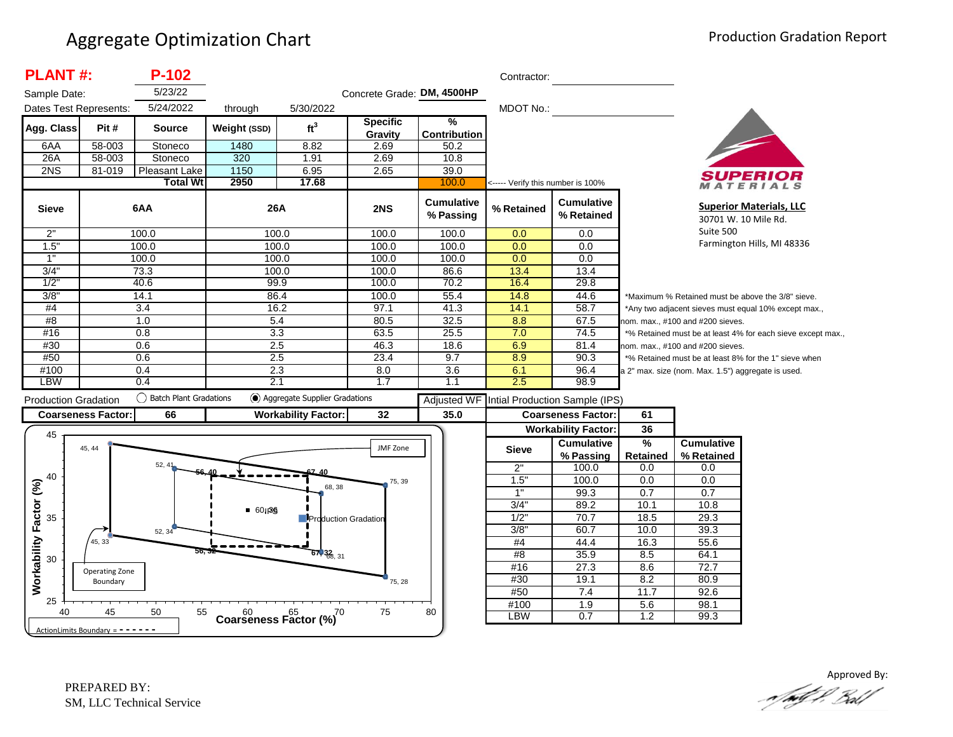| <b>PLANT#:</b>              |                           | $P-102$                   |                                            |                               |                            |                                      | Contractor:                       |                                                              |                                                             |                                                    |                                                       |
|-----------------------------|---------------------------|---------------------------|--------------------------------------------|-------------------------------|----------------------------|--------------------------------------|-----------------------------------|--------------------------------------------------------------|-------------------------------------------------------------|----------------------------------------------------|-------------------------------------------------------|
| Sample Date:                |                           | 5/23/22                   |                                            |                               | Concrete Grade: DM, 4500HP |                                      |                                   |                                                              |                                                             |                                                    |                                                       |
| Dates Test Represents:      |                           | 5/24/2022                 | through                                    | 5/30/2022                     |                            |                                      | MDOT No.:                         |                                                              |                                                             |                                                    |                                                       |
| Agg. Class                  | Pit#                      | <b>Source</b>             | Weight (SSD)                               | ft <sup>3</sup>               | Specific<br>Gravity        | $\frac{9}{6}$<br><b>Contribution</b> |                                   |                                                              |                                                             |                                                    |                                                       |
| 6AA                         | 58-003                    | Stoneco                   | 1480                                       | 8.82                          | 2.69                       | 50.2                                 |                                   |                                                              |                                                             |                                                    |                                                       |
| 26A                         | 58-003                    | Stoneco                   | 320                                        | 1.91                          | 2.69                       | 10.8                                 |                                   |                                                              |                                                             |                                                    |                                                       |
| 2NS                         | 81-019                    | Pleasant Lake             | 1150                                       | 6.95                          | 2.65                       | 39.0                                 |                                   |                                                              |                                                             |                                                    |                                                       |
|                             |                           | <b>Total Wt</b>           | 2950                                       | 17.68                         |                            | 100.0                                | <----- Verify this number is 100% |                                                              |                                                             |                                                    | ATERIALS                                              |
| <b>Sieve</b>                |                           | 6AA                       | 26A                                        |                               | 2NS                        | <b>Cumulative</b><br>% Passing       | % Retained                        | <b>Cumulative</b><br>% Retained                              |                                                             | 30701 W. 10 Mile Rd.                               | <b>Superior Materials, LLC</b>                        |
| 2"                          |                           | 100.0                     | 100.0                                      |                               | 100.0                      | 100.0                                | 0.0                               | 0.0                                                          |                                                             | Suite 500                                          |                                                       |
| 1.5"                        |                           | 100.0                     | 100.0                                      |                               | 100.0                      | 100.0                                | 0.0                               | 0.0                                                          |                                                             |                                                    | Farmington Hills, MI 48336                            |
| 1"                          |                           | 100.0                     | 100.0                                      |                               | 100.0                      | 100.0                                | 0.0                               | 0.0                                                          |                                                             |                                                    |                                                       |
| 3/4"                        |                           | 73.3                      | 100.0                                      |                               | 100.0                      | 86.6                                 | 13.4                              | 13.4                                                         |                                                             |                                                    |                                                       |
| 1/2"                        |                           | 40.6                      | 99.9                                       |                               | 100.0                      | 70.2                                 | 16.4                              | 29.8                                                         |                                                             |                                                    |                                                       |
| 3/8"                        |                           | 14.1                      | 86.4                                       |                               | 100.0                      | 55.4                                 | 14.8                              | 44.6                                                         |                                                             |                                                    | *Maximum % Retained must be above the 3/8" sieve.     |
| #4                          | $\overline{3.4}$          |                           | 16.2                                       |                               | 97.1                       | 41.3                                 | 14.1                              | 58.7                                                         | *Any two adjacent sieves must equal 10% except max.,        |                                                    |                                                       |
| #8                          |                           | 1.0                       | 5.4                                        |                               | 80.5                       | 32.5                                 | 8.8                               | 67.5                                                         | nom. max., #100 and #200 sieves.                            |                                                    |                                                       |
| #16                         |                           | 0.8                       | 3.3                                        |                               | 63.5                       | 25.5                                 | 7.0                               | 74.5                                                         | *% Retained must be at least 4% for each sieve except max., |                                                    |                                                       |
| #30                         |                           | 0.6                       | 2.5                                        |                               | 46.3                       | 18.6                                 | 6.9                               | 81.4                                                         | nom. max., #100 and #200 sieves.                            |                                                    |                                                       |
| #50                         |                           | 0.6                       | 2.5                                        |                               | 23.4                       | 9.7                                  | 8.9                               | 90.3                                                         |                                                             |                                                    | *% Retained must be at least 8% for the 1" sieve when |
| #100                        |                           | 0.4                       | 2.3                                        |                               | 8.0                        | 3.6                                  | 6.1                               | 96.4                                                         |                                                             | a 2" max. size (nom. Max. 1.5") aggregate is used. |                                                       |
| <b>LBW</b>                  |                           | 0.4                       | 2.1                                        |                               | 1.7                        | 1.1                                  | 2.5                               | 98.9                                                         |                                                             |                                                    |                                                       |
|                             |                           |                           |                                            |                               |                            |                                      |                                   |                                                              |                                                             |                                                    |                                                       |
|                             |                           | () Batch Plant Gradations |                                            | Aggregate Supplier Gradations |                            |                                      |                                   |                                                              |                                                             |                                                    |                                                       |
|                             |                           |                           |                                            |                               |                            | <b>Adjusted WF</b>                   |                                   | Intial Production Sample (IPS)                               |                                                             |                                                    |                                                       |
| <b>Production Gradation</b> | <b>Coarseness Factor:</b> | 66                        |                                            | <b>Workability Factor:</b>    | 32                         | 35.0                                 |                                   | <b>Coarseness Factor:</b>                                    | 61                                                          |                                                    |                                                       |
| 45                          | 45, 44                    |                           |                                            |                               | JMF Zone                   |                                      | <b>Sieve</b>                      | <b>Workability Factor:</b><br><b>Cumulative</b><br>% Passing | 36<br>$\frac{9}{6}$<br>Retained                             | <b>Cumulative</b><br>% Retained                    |                                                       |
|                             |                           | 52.41                     |                                            |                               |                            |                                      | 2"                                | 100.0                                                        | 0.0                                                         | 0.0                                                |                                                       |
| 40                          |                           |                           |                                            |                               | 75, 39                     |                                      | 1.5'                              | 100.0                                                        | 0.0                                                         | 0.0                                                |                                                       |
|                             |                           |                           |                                            | 68, 38                        |                            |                                      | 1"                                | 99.3                                                         | 0.7                                                         | 0.7                                                |                                                       |
|                             |                           |                           |                                            |                               |                            |                                      | 3/4"                              | 89.2                                                         | 10.1                                                        | 10.8                                               |                                                       |
| 35                          |                           |                           | $-60,36$                                   | <b>Production Gradation</b>   |                            |                                      | $1/2$ "                           | 70.7                                                         | 18.5                                                        | 29.3                                               |                                                       |
|                             |                           | 52, 34                    |                                            |                               |                            |                                      | 3/8                               | 60.7                                                         | 10.0                                                        | 39.3                                               |                                                       |
|                             | 45, 33                    |                           |                                            |                               |                            |                                      | #4                                | 44.4                                                         | 16.3                                                        | 55.6                                               |                                                       |
| 30                          |                           | 56.                       |                                            | $67,32$ <sub>6, 31</sub>      |                            |                                      | #8                                | 35.9                                                         | 8.5                                                         | 64.1                                               |                                                       |
|                             | Operating Zone            |                           |                                            |                               |                            |                                      | #16                               | 27.3                                                         | 8.6                                                         | 72.7                                               |                                                       |
|                             | Boundary                  |                           |                                            |                               | 75, 28                     |                                      | #30                               | 19.1                                                         | 8.2                                                         | 80.9                                               |                                                       |
| Workability Factor (%)      |                           |                           |                                            |                               |                            |                                      | #50                               | 7.4                                                          | 11.7                                                        | 92.6                                               |                                                       |
| 25<br>40                    | 45                        | 50<br>55                  | $60$ $65$ $(%)$<br>Coarseness Factor $(%)$ |                               | 75                         | 80                                   | #100<br>LBW                       | 1.9<br>0.7                                                   | 5.6<br>1.2                                                  | 98.1<br>99.3                                       |                                                       |

Approved By: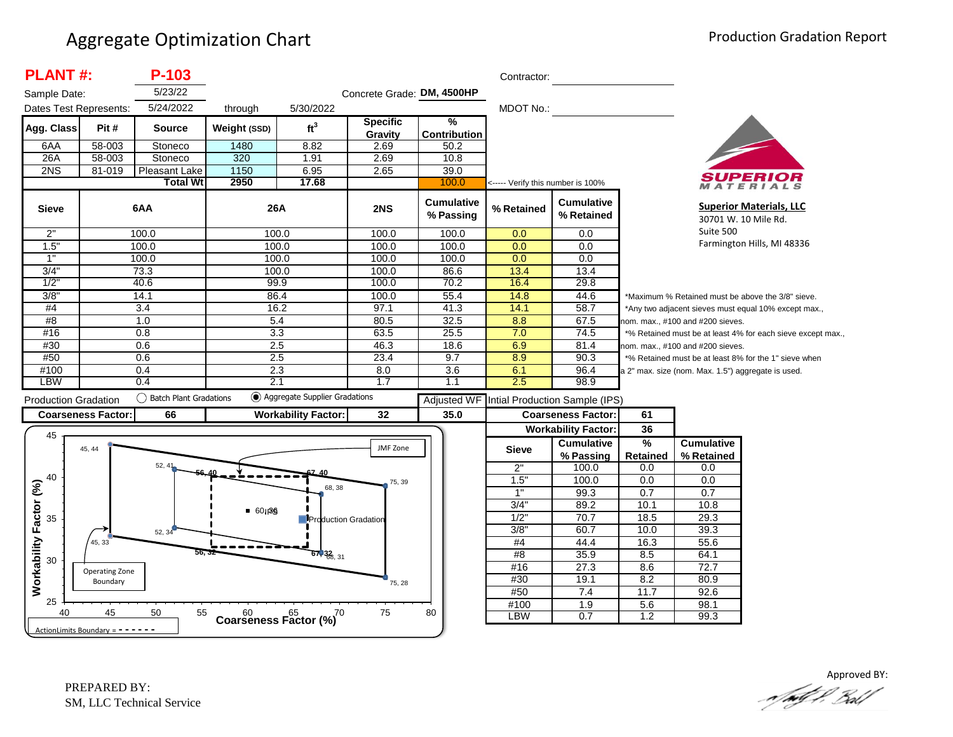| <b>PLANT#:</b>               |                                   | P-103                  |                       |                                         |                            |                                | Contractor:                       |                                 |                                                                                           |                                                    |                                                             |
|------------------------------|-----------------------------------|------------------------|-----------------------|-----------------------------------------|----------------------------|--------------------------------|-----------------------------------|---------------------------------|-------------------------------------------------------------------------------------------|----------------------------------------------------|-------------------------------------------------------------|
| Sample Date:                 |                                   | 5/23/22                |                       |                                         | Concrete Grade: DM, 4500HP |                                |                                   |                                 |                                                                                           |                                                    |                                                             |
| Dates Test Represents:       |                                   | 5/24/2022              | through               | 5/30/2022                               |                            |                                | MDOT No.:                         |                                 |                                                                                           |                                                    |                                                             |
| Agg. Class                   | Pit #                             | <b>Source</b>          | Weight (SSD)          | ft <sup>3</sup>                         | <b>Specific</b><br>Gravity | %<br><b>Contribution</b>       |                                   |                                 |                                                                                           |                                                    |                                                             |
| 6AA                          | 58-003                            | Stoneco                | 1480                  | 8.82                                    | 2.69                       | 50.2                           |                                   |                                 |                                                                                           |                                                    |                                                             |
| 26A                          | 58-003                            | Stoneco                | 320                   | 1.91                                    | 2.69                       | 10.8                           |                                   |                                 |                                                                                           |                                                    |                                                             |
| 2NS                          | 81-019                            | <b>Pleasant Lake</b>   | 1150                  | 6.95                                    | 2.65                       | 39.0                           |                                   |                                 |                                                                                           |                                                    |                                                             |
|                              |                                   | <b>Total Wt</b>        | 2950                  | 17.68                                   |                            | 100.0                          | <----- Verify this number is 100% |                                 |                                                                                           |                                                    | MATERIALS                                                   |
| <b>Sieve</b>                 |                                   | 6AA                    | 26A                   |                                         | 2NS                        | <b>Cumulative</b><br>% Passing | % Retained                        | <b>Cumulative</b><br>% Retained |                                                                                           |                                                    | <b>Superior Materials, LLC</b><br>30701 W. 10 Mile Rd.      |
| 2"                           |                                   | 100.0                  | 100.0                 |                                         | 100.0                      | 100.0                          | 0.0                               | 0.0                             |                                                                                           | Suite 500                                          |                                                             |
| 1.5"                         |                                   | 100.0                  | 100.0                 |                                         | 100.0                      | 100.0                          | 0.0                               | 0.0                             |                                                                                           |                                                    | Farmington Hills, MI 48336                                  |
| 1"                           |                                   | 100.0                  | 100.0                 |                                         | 100.0                      | 100.0                          | 0.0                               | 0.0                             |                                                                                           |                                                    |                                                             |
| 3/4"                         |                                   | 73.3                   | 100.0                 |                                         | 100.0                      | 86.6                           | 13.4                              | 13.4                            |                                                                                           |                                                    |                                                             |
| 1/2"                         |                                   | 40.6                   | 99.9                  |                                         | 100.0                      | 70.2                           | 16.4                              | 29.8                            |                                                                                           |                                                    |                                                             |
| 3/8"                         |                                   | 14.1                   | 86.4                  |                                         | 100.0                      | 55.4                           | 14.8                              | 44.6                            |                                                                                           |                                                    | *Maximum % Retained must be above the 3/8" sieve.           |
| #4                           |                                   | 3.4                    | 16.2                  |                                         | 97.1                       | 41.3                           | 14.1                              | 58.7                            |                                                                                           |                                                    | *Any two adjacent sieves must equal 10% except max.,        |
| #8                           |                                   | 1.0                    | 5.4                   |                                         | 80.5                       | 32.5                           | 8.8                               | 67.5                            |                                                                                           | nom. max., #100 and #200 sieves.                   |                                                             |
| #16                          |                                   | 0.8                    | 3.3                   |                                         | 63.5                       | 25.5                           | 7.0                               | 74.5                            |                                                                                           |                                                    | *% Retained must be at least 4% for each sieve except max., |
| #30                          |                                   | 0.6                    | 2.5                   |                                         | 46.3                       | 18.6                           | 6.9                               | 81.4                            | nom. max., #100 and #200 sieves.<br>*% Retained must be at least 8% for the 1" sieve when |                                                    |                                                             |
| #50                          |                                   | 0.6                    | 2.5                   |                                         | 23.4                       | 9.7                            | 8.9                               | 90.3                            |                                                                                           |                                                    |                                                             |
| #100<br>LBW                  |                                   | 0.4<br>0.4             | 2.3<br>2.1            |                                         | 8.0<br>1.7                 | 3.6                            | 6.1<br>2.5                        | 96.4                            |                                                                                           | a 2" max. size (nom. Max. 1.5") aggregate is used. |                                                             |
|                              |                                   |                        |                       |                                         |                            | 1.1                            |                                   | 98.9                            |                                                                                           |                                                    |                                                             |
| <b>Production Gradation</b>  |                                   | Batch Plant Gradations |                       | Aggregate Supplier Gradations           |                            | <b>Adjusted WF</b>             |                                   | Intial Production Sample (IPS)  |                                                                                           |                                                    |                                                             |
|                              | <b>Coarseness Factor:</b>         | 66                     |                       | <b>Workability Factor:</b>              | 32                         | 35.0                           |                                   | <b>Coarseness Factor:</b>       | 61                                                                                        |                                                    |                                                             |
|                              |                                   |                        |                       |                                         |                            |                                |                                   | <b>Workability Factor:</b>      | 36                                                                                        |                                                    |                                                             |
| 45                           |                                   |                        |                       |                                         |                            |                                |                                   | <b>Cumulative</b>               | %                                                                                         | <b>Cumulative</b>                                  |                                                             |
|                              | 45, 44                            |                        |                       |                                         | JMF Zone                   |                                | <b>Sieve</b>                      | % Passing                       | Retained                                                                                  | % Retained                                         |                                                             |
|                              |                                   | 52, 41                 |                       |                                         |                            |                                | 2"                                | 100.0                           | 0.0                                                                                       | 0.0                                                |                                                             |
| 40                           |                                   |                        |                       |                                         | 75, 39                     |                                | 1.5"                              | 100.0                           | 0.0                                                                                       | 0.0                                                |                                                             |
|                              |                                   |                        |                       | 68, 38                                  |                            |                                | 1"                                | 99.3                            | 0.7                                                                                       | 0.7                                                |                                                             |
|                              |                                   |                        |                       |                                         |                            |                                | 3/4"                              | 89.2                            | 10.1                                                                                      | 10.8                                               |                                                             |
| 35                           |                                   |                        | $-60$ <sub>1</sub> 86 | <b>Production Gradation</b>             |                            |                                | 1/2"                              | 70.7                            | 18.5                                                                                      | 29.3                                               |                                                             |
|                              |                                   | 52, 34                 |                       |                                         |                            |                                | 3/8"                              | 60.7                            | 10.0                                                                                      | 39.3                                               |                                                             |
|                              | 45, 33                            |                        |                       |                                         |                            |                                | #4                                | 44.4                            | 16.3                                                                                      | 55.6                                               |                                                             |
| Workability Factor (%)<br>30 |                                   |                        |                       | $67,32$ <sub>6, 31</sub>                |                            |                                | #8                                | 35.9                            | 8.5                                                                                       | 64.1                                               |                                                             |
|                              | Operating Zone                    |                        |                       |                                         |                            |                                | #16                               | 27.3                            | 8.6                                                                                       | 72.7                                               |                                                             |
|                              | Boundary                          |                        |                       |                                         | 75, 28                     |                                | #30                               | 19.1                            | 8.2                                                                                       | 80.9                                               |                                                             |
|                              |                                   |                        |                       |                                         |                            |                                | #50                               | 7.4                             | 11.7                                                                                      | 92.6                                               |                                                             |
| 25                           |                                   |                        |                       |                                         |                            |                                | #100                              | 1.9                             | 5.6                                                                                       | 98.1                                               |                                                             |
| 40                           | 45                                | 55<br>50               |                       | $60$ $65$ $70$<br>Coarseness Factor (%) | 75                         | 80                             | LBW                               | 0.7                             | 1.2                                                                                       | 99.3                                               |                                                             |
|                              | ActionLimits Boundary = - - - - - |                        |                       |                                         |                            |                                |                                   |                                 |                                                                                           |                                                    |                                                             |

Approved BY:<br>And of Proof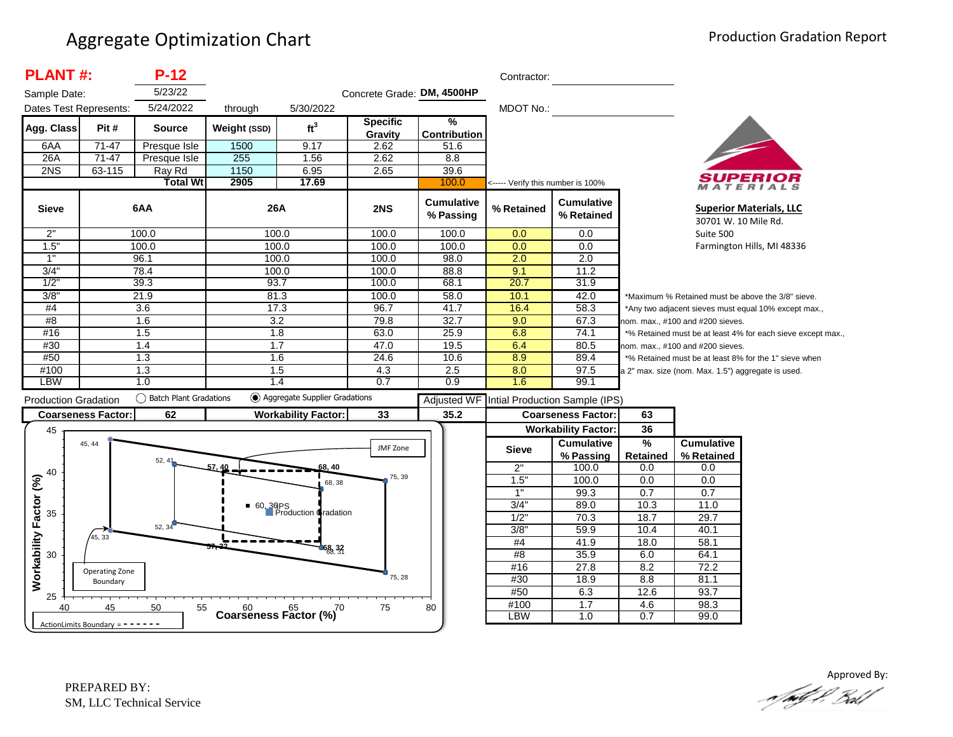| <b>PLANT#:</b>              |                                     | $P-12$                    |                  |                                  |                            |                                      | Contractor:                       |                                            |                 |                                                    |                                                             |
|-----------------------------|-------------------------------------|---------------------------|------------------|----------------------------------|----------------------------|--------------------------------------|-----------------------------------|--------------------------------------------|-----------------|----------------------------------------------------|-------------------------------------------------------------|
| Sample Date:                |                                     | 5/23/22                   |                  |                                  | Concrete Grade: DM, 4500HP |                                      |                                   |                                            |                 |                                                    |                                                             |
| Dates Test Represents:      |                                     | 5/24/2022                 | through          | 5/30/2022                        |                            |                                      | MDOT No.:                         |                                            |                 |                                                    |                                                             |
| Agg. Class                  | Pit#                                | <b>Source</b>             | Weight (SSD)     | ft <sup>3</sup>                  | <b>Specific</b><br>Gravity | $\frac{9}{6}$<br><b>Contribution</b> |                                   |                                            |                 |                                                    |                                                             |
| 6AA                         | $71 - 47$                           | Presque Isle              | 1500             | 9.17                             | 2.62                       | 51.6                                 |                                   |                                            |                 |                                                    |                                                             |
| 26A                         | $71-47$                             | Presque Isle              | 255              | 1.56                             | 2.62                       | 8.8                                  |                                   |                                            |                 |                                                    |                                                             |
| 2NS                         | 63-115                              | Ray Rd                    | 1150             | 6.95                             | 2.65                       | 39.6                                 |                                   |                                            |                 |                                                    |                                                             |
|                             |                                     | <b>Total Wt</b>           | 2905             | 17.69                            |                            | 100.0                                | <----- Verify this number is 100% |                                            |                 |                                                    | MATERIALS                                                   |
| <b>Sieve</b>                |                                     | 6AA                       | 26A              |                                  | 2NS                        | <b>Cumulative</b><br>% Passing       | % Retained                        | <b>Cumulative</b><br>% Retained            |                 | 30701 W. 10 Mile Rd.                               | <b>Superior Materials, LLC</b>                              |
| 2"                          |                                     | 100.0                     | 100.0            |                                  | 100.0                      | 100.0                                | 0.0                               | $\overline{0.0}$                           |                 | Suite 500                                          |                                                             |
| 1.5"                        |                                     | 100.0                     | 100.0            |                                  | 100.0                      | 100.0                                | 0.0                               | 0.0                                        |                 |                                                    | Farmington Hills, MI 48336                                  |
| $\overline{1}$              |                                     | 96.1                      | 100.0            |                                  | 100.0                      | 98.0                                 | 2.0                               | $\overline{2.0}$                           |                 |                                                    |                                                             |
| 3/4"                        |                                     | 78.4                      |                  | 100.0                            | 100.0                      | 88.8                                 | 9.1                               | 11.2                                       |                 |                                                    |                                                             |
| 1/2"                        |                                     | 39.3                      | 93.7             |                                  | 100.0                      | 68.1                                 | 20.7                              | 31.9                                       |                 |                                                    |                                                             |
| 3/8                         |                                     | 21.9                      | 81.3             |                                  | 100.0                      | 58.0                                 | 10.1                              | 42.0                                       |                 |                                                    | *Maximum % Retained must be above the 3/8" sieve.           |
| #4                          |                                     | $\overline{3.6}$          |                  | 17.3                             | 96.7                       | 41.7                                 | 16.4                              | 58.3                                       |                 |                                                    | *Any two adjacent sieves must equal 10% except max.,        |
| #8                          |                                     | 1.6                       | 3.2              |                                  | 79.8                       | 32.7                                 | 9.0                               | 67.3                                       |                 | nom. max., #100 and #200 sieves.                   |                                                             |
| #16                         |                                     | 1.5                       | $\overline{1.8}$ |                                  | 63.0                       | 25.9                                 | 6.8                               | 74.1                                       |                 |                                                    | *% Retained must be at least 4% for each sieve except max., |
| #30                         |                                     | 1.4                       | 1.7              |                                  | 47.0<br>24.6               | 19.5                                 | 6.4                               | 80.5                                       |                 | nom. max., #100 and #200 sieves.                   |                                                             |
| #50                         |                                     | 1.3                       |                  | 1.6<br>1.5                       |                            | 10.6                                 | 8.9                               | 89.4                                       |                 |                                                    | *% Retained must be at least 8% for the 1" sieve when       |
| #100<br>LBW                 |                                     | 1.3<br>1.0                |                  | 1.4                              | 4.3<br>0.7                 | 2.5<br>0.9                           | 8.0<br>1.6                        | 97.5<br>99.1                               |                 | a 2" max. size (nom. Max. 1.5") aggregate is used. |                                                             |
|                             |                                     |                           |                  | ◯ Aggregate Supplier Gradations  |                            |                                      |                                   |                                            |                 |                                                    |                                                             |
| <b>Production Gradation</b> |                                     | () Batch Plant Gradations |                  |                                  |                            |                                      |                                   | Adjusted WF Intial Production Sample (IPS) |                 |                                                    |                                                             |
|                             | <b>Coarseness Factor:</b>           | 62                        |                  | <b>Workability Factor:</b>       | 33                         | 35.2                                 |                                   | <b>Coarseness Factor:</b>                  | 63              |                                                    |                                                             |
| 45                          |                                     |                           |                  |                                  |                            |                                      |                                   | <b>Workability Factor:</b>                 | 36              |                                                    |                                                             |
|                             | 45, 44                              |                           |                  |                                  | JMF Zone                   |                                      | <b>Sieve</b>                      | <b>Cumulative</b>                          | $\frac{9}{6}$   | <b>Cumulative</b>                                  |                                                             |
|                             |                                     | 52, 41                    |                  |                                  |                            |                                      |                                   | % Passing                                  | <b>Retained</b> | % Retained                                         |                                                             |
| 40                          |                                     |                           | 57.40            | 68, 40                           | 75, 39                     |                                      | 2"                                | 100.0                                      | 0.0             | 0.0                                                |                                                             |
|                             |                                     |                           |                  | 68, 38                           |                            |                                      | 1.5"                              | 100.0                                      | 0.0             | 0.0                                                |                                                             |
|                             |                                     |                           |                  |                                  |                            |                                      | 1"                                | 99.3                                       | 0.7             | 0.7                                                |                                                             |
| 35                          |                                     |                           |                  | 60, 36PS<br>Production Gradation |                            |                                      | 3/4"                              | 89.0                                       | 10.3            | 11.0                                               |                                                             |
|                             |                                     | 52, 34                    |                  |                                  |                            |                                      | 1/2"                              | 70.3                                       | 18.7            | 29.7                                               |                                                             |
|                             | 45, 33                              |                           |                  |                                  |                            |                                      | 3/8"                              | 59.9                                       | 10.4            | 40.1                                               |                                                             |
|                             |                                     |                           |                  | 68, 32                           |                            |                                      | #4                                | 41.9                                       | 18.0            | 58.1                                               |                                                             |
| 30                          |                                     |                           |                  |                                  |                            |                                      | #8                                | 35.9                                       | 6.0             | 64.1                                               |                                                             |
| Workability Factor (%)      | Operating Zone                      |                           |                  |                                  | 75, 28                     |                                      | #16<br>#30                        | 27.8                                       | 8.2             | 72.2                                               |                                                             |
|                             | Boundary                            |                           |                  |                                  |                            |                                      | #50                               | 18.9                                       | 8.8<br>12.6     | 81.1<br>93.7                                       |                                                             |
| 25                          |                                     |                           |                  |                                  |                            |                                      | #100                              | 6.3<br>1.7                                 | 4.6             | 98.3                                               |                                                             |
| 40                          | 45                                  | 50<br>55                  |                  | Coarseness Factor $(%)^{70}$     | 75                         | 80                                   | <b>LBW</b>                        | 1.0                                        | 0.7             | 99.0                                               |                                                             |
|                             | ActionLimits Boundary = $- - - - -$ |                           |                  |                                  |                            |                                      |                                   |                                            |                 |                                                    |                                                             |

Approved By:<br>Approved By: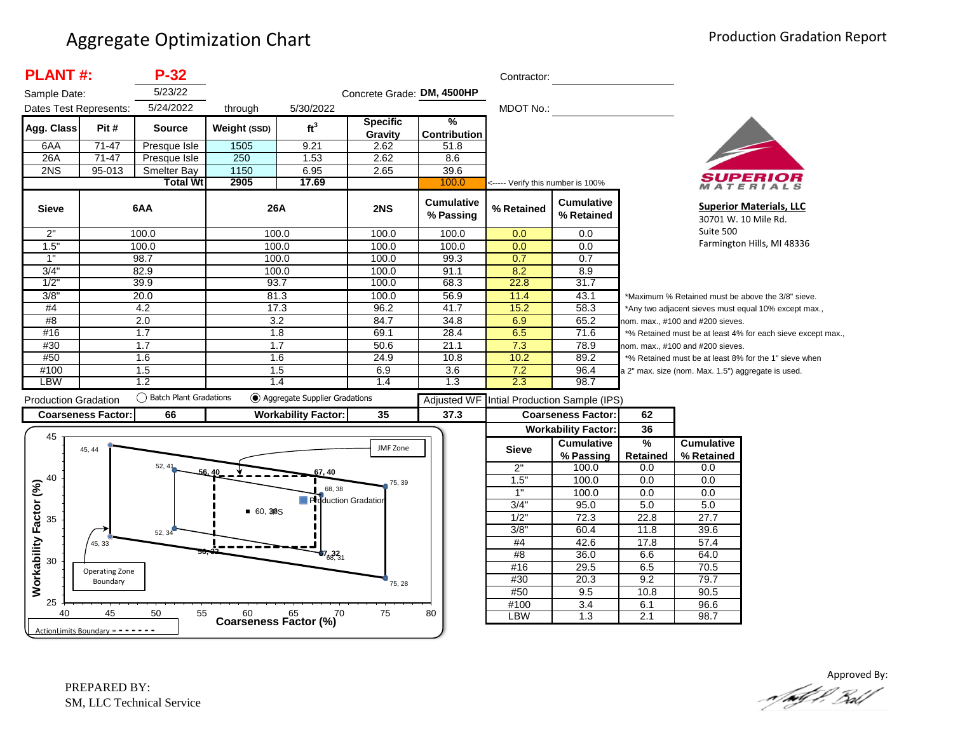| <b>PLANT#:</b>              |                                   | $P-32$                   |                  |                                      |                            |                                      | Contractor:                       |                                            |                 |                                                    |                                                             |
|-----------------------------|-----------------------------------|--------------------------|------------------|--------------------------------------|----------------------------|--------------------------------------|-----------------------------------|--------------------------------------------|-----------------|----------------------------------------------------|-------------------------------------------------------------|
| Sample Date:                |                                   | 5/23/22                  |                  |                                      | Concrete Grade: DM, 4500HP |                                      |                                   |                                            |                 |                                                    |                                                             |
| Dates Test Represents:      |                                   | 5/24/2022                | through          | 5/30/2022                            |                            |                                      | MDOT No.:                         |                                            |                 |                                                    |                                                             |
| Agg. Class                  | Pit#                              | <b>Source</b>            | Weight (SSD)     | ft <sup>3</sup>                      | <b>Specific</b><br>Gravity | $\frac{9}{6}$<br><b>Contribution</b> |                                   |                                            |                 |                                                    |                                                             |
| 6AA                         | $71 - 47$                         | Presque Isle             | 1505             | 9.21                                 | 2.62                       | 51.8                                 |                                   |                                            |                 |                                                    |                                                             |
| 26A                         | $71-47$                           | Presque Isle             | 250              | 1.53                                 | 2.62                       | 8.6                                  |                                   |                                            |                 |                                                    |                                                             |
| 2NS                         | $95 - 013$                        | <b>Smelter Bay</b>       | 1150             | 6.95                                 | 2.65                       | 39.6                                 |                                   |                                            |                 |                                                    |                                                             |
|                             |                                   | <b>Total Wt</b>          | 2905             | 17.69                                |                            | 100.0                                | <----- Verify this number is 100% |                                            |                 |                                                    | ATERIALS                                                    |
| <b>Sieve</b>                |                                   | 6AA                      | 26A              |                                      | 2NS                        | <b>Cumulative</b><br>% Passing       | % Retained                        | <b>Cumulative</b><br>% Retained            |                 |                                                    | <b>Superior Materials, LLC</b><br>30701 W. 10 Mile Rd.      |
| 2"                          |                                   | 100.0                    | 100.0            |                                      | 100.0                      | 100.0                                | 0.0                               | 0.0                                        |                 | Suite 500                                          |                                                             |
| 1.5"                        |                                   | 100.0                    | 100.0            |                                      | 100.0                      | 100.0                                | 0.0                               | 0.0                                        |                 |                                                    | Farmington Hills, MI 48336                                  |
| $\overline{1}$              |                                   | 98.7                     | 100.0            |                                      | 100.0                      | 99.3                                 | 0.7                               | 0.7                                        |                 |                                                    |                                                             |
| 3/4"                        |                                   | 82.9                     | 100.0            |                                      | 100.0                      | 91.1                                 | 8.2                               | 8.9                                        |                 |                                                    |                                                             |
| 1/2                         |                                   | 39.9                     | 93.7             |                                      | 100.0                      | 68.3                                 | 22.8                              | 31.7                                       |                 |                                                    |                                                             |
| 3/8"                        |                                   | 20.0                     | 81.3             |                                      | 100.0                      | 56.9                                 | 11.4                              | 43.1                                       |                 |                                                    | *Maximum % Retained must be above the 3/8" sieve.           |
| #4                          |                                   | 4.2                      | 17.3             |                                      | 96.2                       | 41.7                                 | 15.2                              | 58.3                                       |                 |                                                    | *Any two adjacent sieves must equal 10% except max.,        |
| #8                          |                                   | 2.0                      | $\overline{3.2}$ |                                      | 84.7                       | 34.8                                 | 6.9                               | 65.2                                       |                 | nom. max., #100 and #200 sieves.                   |                                                             |
| #16                         |                                   | 1.7                      | 1.8              |                                      | 69.1                       | 28.4                                 | 6.5                               | 71.6                                       |                 |                                                    | *% Retained must be at least 4% for each sieve except max., |
| #30                         |                                   | 1.7                      | 1.7              |                                      | 50.6                       | 21.1                                 | 7.3                               | 78.9                                       |                 | nom. max., #100 and #200 sieves.                   |                                                             |
| #50                         |                                   | 1.6                      | 1.6              |                                      | 24.9                       | 10.8                                 | 10.2                              | 89.2                                       |                 |                                                    | *% Retained must be at least 8% for the 1" sieve when       |
| #100                        |                                   | 1.5                      | 1.5              |                                      | 6.9                        | 3.6                                  | 7.2                               | 96.4                                       |                 | a 2" max. size (nom. Max. 1.5") aggregate is used. |                                                             |
| LBW                         |                                   | 1.2                      | 1.4              |                                      | 1.4                        | 1.3                                  | 2.3                               | 98.7                                       |                 |                                                    |                                                             |
| <b>Production Gradation</b> |                                   | ◯ Batch Plant Gradations |                  | ◯ Aggregate Supplier Gradations      |                            |                                      |                                   | Adjusted WF Intial Production Sample (IPS) |                 |                                                    |                                                             |
|                             | <b>Coarseness Factor:</b>         | 66                       |                  | <b>Workability Factor:</b>           | 35                         | 37.3                                 |                                   | <b>Coarseness Factor:</b>                  | 62              |                                                    |                                                             |
|                             |                                   |                          |                  |                                      |                            |                                      |                                   | <b>Workability Factor:</b>                 | 36              |                                                    |                                                             |
| 45                          |                                   |                          |                  |                                      |                            |                                      |                                   | <b>Cumulative</b>                          | $\frac{9}{6}$   | <b>Cumulative</b>                                  |                                                             |
|                             | 45, 44                            |                          |                  |                                      | JMF Zone                   |                                      | <b>Sieve</b>                      | % Passing                                  | <b>Retained</b> | % Retained                                         |                                                             |
|                             |                                   | 52, 41                   |                  |                                      |                            |                                      | 2"                                | 100.0                                      | 0.0             | 0.0                                                |                                                             |
| 40                          |                                   |                          |                  | 57, 40                               | 75, 39                     |                                      | 1.5'                              | 100.0                                      | 0.0             | 0.0                                                |                                                             |
|                             |                                   |                          |                  | 68, 38                               |                            |                                      | 1"                                | 100.0                                      | 0.0             | 0.0                                                |                                                             |
|                             |                                   |                          |                  | <b>Production Gradation</b>          |                            |                                      | 3/4"                              | 95.0                                       | 5.0             | 5.0                                                |                                                             |
| 35                          |                                   |                          | 60, 3BS          |                                      |                            |                                      | 1/2"                              | 72.3                                       | 22.8            | 27.7                                               |                                                             |
|                             |                                   | 52, 34                   |                  |                                      |                            |                                      | 3/8"                              | 60.4                                       | 11.8            | 39.6                                               |                                                             |
|                             | 45, 33                            |                          |                  |                                      |                            |                                      | $\#4$                             | 42.6                                       | 17.8            | 57.4                                               |                                                             |
| Workability Factor (%)      |                                   |                          |                  | $67_{68,31}$                         |                            |                                      | #8                                | 36.0                                       | 6.6             | 64.0                                               |                                                             |
| 30                          |                                   |                          |                  |                                      |                            |                                      | #16                               | 29.5                                       | 6.5             | 70.5                                               |                                                             |
|                             | Operating Zone<br>Boundary        |                          |                  |                                      | 75, 28                     |                                      | #30                               | 20.3                                       | 9.2             | 79.7                                               |                                                             |
|                             |                                   |                          |                  |                                      |                            |                                      | #50                               | 9.5                                        | 10.8            | 90.5                                               |                                                             |
| 25                          |                                   |                          |                  |                                      |                            |                                      | #100                              | $\overline{3.4}$                           | 6.1             | 96.6                                               |                                                             |
| 40                          | 45                                | 50<br>55                 |                  | Coarseness Factor $\binom{60}{6}$ 70 | 75                         | 80                                   | <b>LBW</b>                        | 1.3                                        | 2.1             | 98.7                                               |                                                             |
|                             | ActionLimits Boundary = - - - - - |                          |                  |                                      |                            |                                      |                                   |                                            |                 |                                                    |                                                             |

Approved By: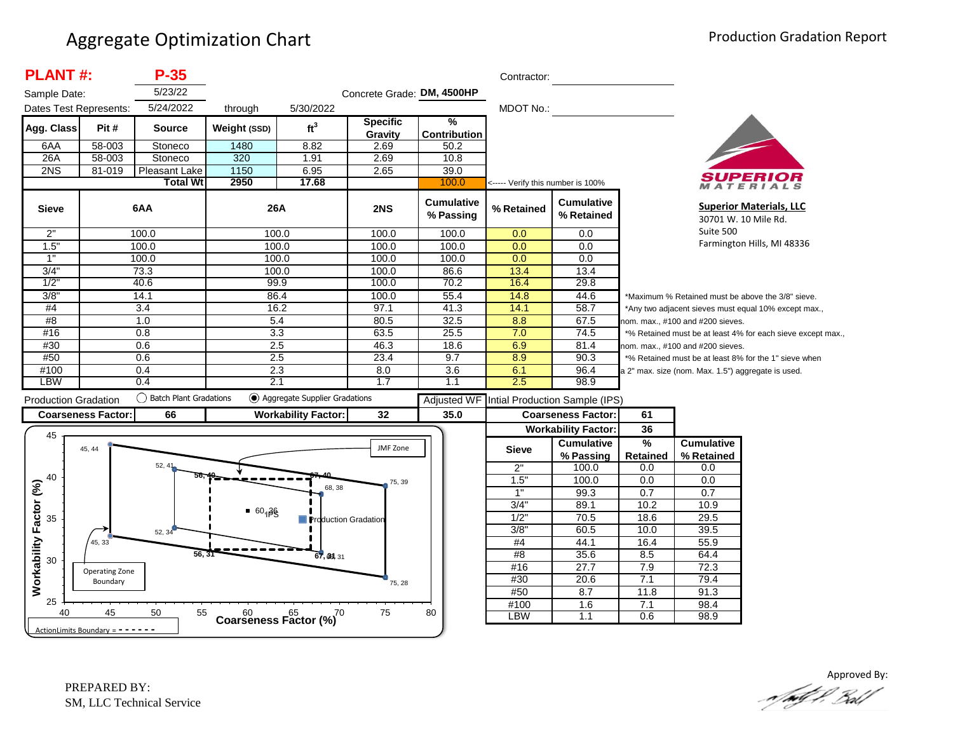| <b>PLANT#:</b>              |                                     | $P-35$                    |                                      |                                 |                            |                                | Contractor:                       |                                 |                                  |                                                    |                                                             |
|-----------------------------|-------------------------------------|---------------------------|--------------------------------------|---------------------------------|----------------------------|--------------------------------|-----------------------------------|---------------------------------|----------------------------------|----------------------------------------------------|-------------------------------------------------------------|
| Sample Date:                |                                     | 5/23/22                   |                                      |                                 | Concrete Grade: DM, 4500HP |                                |                                   |                                 |                                  |                                                    |                                                             |
| Dates Test Represents:      |                                     | 5/24/2022                 | through                              | 5/30/2022                       |                            |                                | MDOT No.:                         |                                 |                                  |                                                    |                                                             |
| Agg. Class                  | Pit#                                | <b>Source</b>             | Weight (SSD)                         | ft <sup>3</sup>                 | <b>Specific</b><br>Gravity | %<br><b>Contribution</b>       |                                   |                                 |                                  |                                                    |                                                             |
| 6AA                         | 58-003                              | Stoneco                   | 1480                                 | 8.82                            | 2.69                       | 50.2                           |                                   |                                 |                                  |                                                    |                                                             |
| 26A                         | 58-003                              | Stoneco                   | 320                                  | 1.91                            | 2.69                       | 10.8                           |                                   |                                 |                                  |                                                    |                                                             |
| 2NS                         | 81-019                              | Pleasant Lake             | 1150                                 | 6.95                            | 2.65                       | 39.0                           |                                   |                                 |                                  |                                                    |                                                             |
|                             |                                     | <b>Total Wt</b>           | 2950                                 | 17.68                           |                            | 100.0                          | <----- Verify this number is 100% |                                 |                                  |                                                    | ATERIALS                                                    |
| <b>Sieve</b>                |                                     | 6AA                       | 26A                                  |                                 | 2NS                        | <b>Cumulative</b><br>% Passing | % Retained                        | <b>Cumulative</b><br>% Retained |                                  |                                                    | <b>Superior Materials, LLC</b><br>30701 W. 10 Mile Rd.      |
| 2"                          |                                     | 100.0                     |                                      | 100.0                           | 100.0                      | 100.0                          | 0.0                               | 0.0                             |                                  | Suite 500                                          |                                                             |
| 1.5"                        |                                     | 100.0                     |                                      | 100.0                           | 100.0                      | 100.0                          | 0.0                               | 0.0                             |                                  |                                                    | Farmington Hills, MI 48336                                  |
| 1"                          |                                     | 100.0                     |                                      | 100.0                           | 100.0                      | 100.0                          | 0.0                               | 0.0                             |                                  |                                                    |                                                             |
| 3/4"                        |                                     | 73.3                      |                                      | 100.0                           | 100.0                      | 86.6                           | 13.4                              | 13.4                            |                                  |                                                    |                                                             |
| 1/2                         |                                     | 40.6                      | 99.9                                 |                                 | 100.0                      | 70.2                           | 16.4                              | 29.8                            |                                  |                                                    |                                                             |
| 3/8"                        |                                     | 14.1                      |                                      | 86.4                            | 100.0                      | 55.4                           | 14.8                              | 44.6                            |                                  |                                                    | *Maximum % Retained must be above the 3/8" sieve.           |
| #4                          |                                     | 3.4                       |                                      | 16.2                            | 97.1                       | 41.3                           | 14.1                              | 58.7                            |                                  |                                                    | *Any two adjacent sieves must equal 10% except max.,        |
| #8                          |                                     | 1.0                       | 5.4                                  |                                 | 80.5                       | 32.5                           | 8.8                               | 67.5                            |                                  | nom. max., #100 and #200 sieves.                   |                                                             |
| #16                         |                                     | 0.8                       | 3.3                                  |                                 | 63.5                       | 25.5                           | 7.0                               | 74.5                            |                                  |                                                    | *% Retained must be at least 4% for each sieve except max., |
| #30                         |                                     | 0.6                       | 2.5                                  |                                 | 46.3                       | 18.6                           | 6.9                               | 81.4                            |                                  | nom. max., #100 and #200 sieves.                   |                                                             |
| #50                         |                                     | 0.6                       | 2.5                                  |                                 | 23.4                       | 9.7                            | 8.9                               | 90.3                            |                                  |                                                    | *% Retained must be at least 8% for the 1" sieve when       |
| #100                        |                                     | 0.4                       |                                      | 2.3                             |                            | 3.6                            | 6.1                               | 96.4                            |                                  | a 2" max. size (nom. Max. 1.5") aggregate is used. |                                                             |
| <b>LBW</b>                  |                                     | 0.4                       | 2.1                                  |                                 | 1.7                        | 1.1                            | 2.5                               | 98.9                            |                                  |                                                    |                                                             |
| <b>Production Gradation</b> |                                     | () Batch Plant Gradations |                                      | ◯ Aggregate Supplier Gradations |                            | <b>Adjusted WF</b>             |                                   | Intial Production Sample (IPS)  |                                  |                                                    |                                                             |
|                             | <b>Coarseness Factor:</b>           | 66                        |                                      | <b>Workability Factor:</b>      | 32                         | 35.0                           |                                   | <b>Coarseness Factor:</b>       | 61                               |                                                    |                                                             |
|                             |                                     |                           |                                      |                                 |                            |                                |                                   | <b>Workability Factor:</b>      | 36                               |                                                    |                                                             |
| 45                          | 45, 44                              |                           |                                      |                                 | JMF Zone                   |                                | <b>Sieve</b>                      | <b>Cumulative</b><br>% Passing  | $\frac{9}{6}$<br><b>Retained</b> | <b>Cumulative</b><br>% Retained                    |                                                             |
|                             |                                     | 52, 41                    |                                      |                                 |                            |                                | 2"                                | 100.0                           | 0.0                              | 0.0                                                |                                                             |
| 40                          |                                     |                           |                                      |                                 | 75, 39                     |                                | 1.5"                              | 100.0                           | 0.0                              | 0.0                                                |                                                             |
|                             |                                     |                           |                                      | 68, 38                          |                            |                                | 1"                                | 99.3                            | 0.7                              | 0.7                                                |                                                             |
|                             |                                     |                           |                                      |                                 |                            |                                | 3/4"                              | 89.1                            | 10.2                             | 10.9                                               |                                                             |
| 35                          |                                     |                           | $-60, \beta$                         | <b>Production Gradation</b>     |                            |                                | 1/2"                              | 70.5                            | 18.6                             | 29.5                                               |                                                             |
|                             |                                     | 52, 34                    |                                      |                                 |                            |                                | $3/8$ "                           | 60.5                            | 10.0                             | 39.5                                               |                                                             |
| Workability Factor (%)      | 45, 33                              |                           |                                      |                                 |                            |                                | #4                                | 44.1                            | 16.4                             | 55.9                                               |                                                             |
| 30                          |                                     | 56, 31                    |                                      | 67, 39, 31                      |                            |                                | #8                                | 35.6                            | 8.5                              | 64.4                                               |                                                             |
|                             | Operating Zone                      |                           |                                      |                                 |                            |                                | #16                               | 27.7                            | 7.9                              | 72.3                                               |                                                             |
|                             | Boundary                            |                           |                                      |                                 | 75, 28                     |                                | #30                               | 20.6                            | 7.1                              | 79.4                                               |                                                             |
|                             |                                     |                           |                                      |                                 |                            |                                | #50                               | 8.7                             | 11.8                             | 91.3                                               |                                                             |
| 25                          |                                     |                           |                                      |                                 |                            |                                | #100                              | 1.6                             | 7.1                              | 98.4                                               |                                                             |
| 40                          | 45                                  | 50<br>55                  | $60$ $65$ $65$ Coarseness Factor (%) | $\overline{C}$                  | 75                         | 80                             | <b>LBW</b>                        | 1.1                             | 0.6                              | 98.9                                               |                                                             |
|                             | ActionLimits Boundary = $- - - - -$ |                           |                                      |                                 |                            |                                |                                   |                                 |                                  |                                                    |                                                             |

Approved By:<br>Approved By: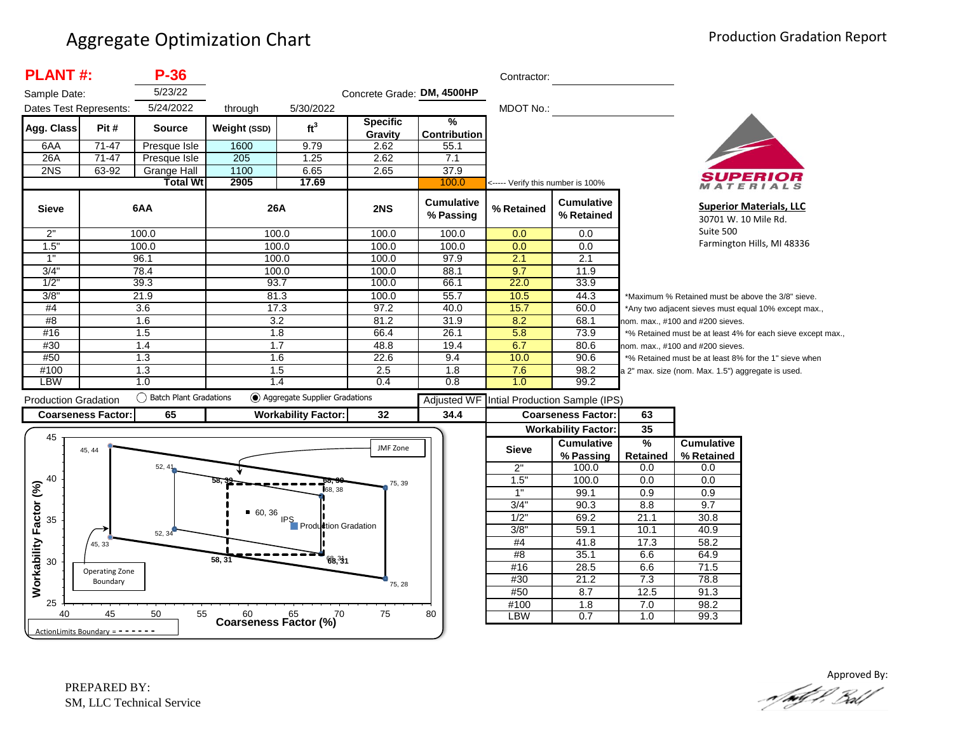| <b>PLANT#:</b>              | $P-36$                                                                               |                                                                                                                                                             |                                                            |                                                                                                                                                                                     |                                                                                                                           | Contractor:                                                                                                                                   |                                                                                     |                                                                                                                                               |                                            |                                                                                                                                                                                                                                                                                                                                          |
|-----------------------------|--------------------------------------------------------------------------------------|-------------------------------------------------------------------------------------------------------------------------------------------------------------|------------------------------------------------------------|-------------------------------------------------------------------------------------------------------------------------------------------------------------------------------------|---------------------------------------------------------------------------------------------------------------------------|-----------------------------------------------------------------------------------------------------------------------------------------------|-------------------------------------------------------------------------------------|-----------------------------------------------------------------------------------------------------------------------------------------------|--------------------------------------------|------------------------------------------------------------------------------------------------------------------------------------------------------------------------------------------------------------------------------------------------------------------------------------------------------------------------------------------|
|                             | 5/23/22                                                                              |                                                                                                                                                             |                                                            |                                                                                                                                                                                     |                                                                                                                           |                                                                                                                                               |                                                                                     |                                                                                                                                               |                                            |                                                                                                                                                                                                                                                                                                                                          |
|                             |                                                                                      |                                                                                                                                                             |                                                            |                                                                                                                                                                                     |                                                                                                                           |                                                                                                                                               |                                                                                     |                                                                                                                                               |                                            |                                                                                                                                                                                                                                                                                                                                          |
| Pit#                        | <b>Source</b>                                                                        | Weight (SSD)                                                                                                                                                | ft <sup>3</sup>                                            | <b>Specific</b>                                                                                                                                                                     | $\frac{9}{6}$                                                                                                             |                                                                                                                                               |                                                                                     |                                                                                                                                               |                                            |                                                                                                                                                                                                                                                                                                                                          |
|                             |                                                                                      |                                                                                                                                                             |                                                            |                                                                                                                                                                                     |                                                                                                                           |                                                                                                                                               |                                                                                     |                                                                                                                                               |                                            |                                                                                                                                                                                                                                                                                                                                          |
|                             |                                                                                      |                                                                                                                                                             |                                                            |                                                                                                                                                                                     |                                                                                                                           |                                                                                                                                               |                                                                                     |                                                                                                                                               |                                            |                                                                                                                                                                                                                                                                                                                                          |
|                             |                                                                                      |                                                                                                                                                             |                                                            |                                                                                                                                                                                     |                                                                                                                           |                                                                                                                                               |                                                                                     |                                                                                                                                               |                                            |                                                                                                                                                                                                                                                                                                                                          |
|                             | <b>Total Wt</b>                                                                      | 2905                                                                                                                                                        | 17.69                                                      |                                                                                                                                                                                     | 100.0                                                                                                                     |                                                                                                                                               |                                                                                     |                                                                                                                                               |                                            | ATERIALS                                                                                                                                                                                                                                                                                                                                 |
|                             |                                                                                      |                                                                                                                                                             |                                                            | 2NS                                                                                                                                                                                 | <b>Cumulative</b><br>% Passing                                                                                            | % Retained                                                                                                                                    | <b>Cumulative</b><br>% Retained                                                     |                                                                                                                                               | 30701 W. 10 Mile Rd.                       | <b>Superior Materials, LLC</b>                                                                                                                                                                                                                                                                                                           |
|                             |                                                                                      |                                                                                                                                                             |                                                            | 100.0                                                                                                                                                                               | 100.0                                                                                                                     | 0.0                                                                                                                                           | 0.0                                                                                 |                                                                                                                                               |                                            |                                                                                                                                                                                                                                                                                                                                          |
|                             |                                                                                      |                                                                                                                                                             |                                                            | 100.0                                                                                                                                                                               | 100.0                                                                                                                     | 0.0                                                                                                                                           | 0.0                                                                                 |                                                                                                                                               |                                            | Farmington Hills, MI 48336                                                                                                                                                                                                                                                                                                               |
|                             |                                                                                      |                                                                                                                                                             |                                                            | 100.0                                                                                                                                                                               | 97.9                                                                                                                      |                                                                                                                                               |                                                                                     |                                                                                                                                               |                                            |                                                                                                                                                                                                                                                                                                                                          |
|                             |                                                                                      |                                                                                                                                                             |                                                            | 100.0                                                                                                                                                                               |                                                                                                                           | 9.7                                                                                                                                           | 11.9                                                                                |                                                                                                                                               |                                            |                                                                                                                                                                                                                                                                                                                                          |
|                             |                                                                                      |                                                                                                                                                             |                                                            | 100.0                                                                                                                                                                               | 66.1                                                                                                                      |                                                                                                                                               |                                                                                     |                                                                                                                                               |                                            |                                                                                                                                                                                                                                                                                                                                          |
|                             |                                                                                      |                                                                                                                                                             |                                                            |                                                                                                                                                                                     |                                                                                                                           |                                                                                                                                               |                                                                                     |                                                                                                                                               |                                            |                                                                                                                                                                                                                                                                                                                                          |
|                             |                                                                                      |                                                                                                                                                             |                                                            |                                                                                                                                                                                     |                                                                                                                           |                                                                                                                                               |                                                                                     |                                                                                                                                               |                                            |                                                                                                                                                                                                                                                                                                                                          |
| 3.6<br>1.6                  |                                                                                      |                                                                                                                                                             |                                                            |                                                                                                                                                                                     |                                                                                                                           |                                                                                                                                               |                                                                                     | nom. max., #100 and #200 sieves.                                                                                                              |                                            |                                                                                                                                                                                                                                                                                                                                          |
|                             |                                                                                      |                                                                                                                                                             |                                                            |                                                                                                                                                                                     |                                                                                                                           |                                                                                                                                               |                                                                                     |                                                                                                                                               |                                            |                                                                                                                                                                                                                                                                                                                                          |
|                             |                                                                                      |                                                                                                                                                             |                                                            |                                                                                                                                                                                     |                                                                                                                           |                                                                                                                                               |                                                                                     |                                                                                                                                               |                                            |                                                                                                                                                                                                                                                                                                                                          |
|                             |                                                                                      |                                                                                                                                                             |                                                            | 22.6                                                                                                                                                                                |                                                                                                                           |                                                                                                                                               |                                                                                     |                                                                                                                                               |                                            |                                                                                                                                                                                                                                                                                                                                          |
|                             |                                                                                      |                                                                                                                                                             |                                                            |                                                                                                                                                                                     |                                                                                                                           |                                                                                                                                               |                                                                                     |                                                                                                                                               |                                            |                                                                                                                                                                                                                                                                                                                                          |
|                             |                                                                                      |                                                                                                                                                             |                                                            |                                                                                                                                                                                     |                                                                                                                           |                                                                                                                                               |                                                                                     |                                                                                                                                               |                                            |                                                                                                                                                                                                                                                                                                                                          |
| <b>Production Gradation</b> |                                                                                      |                                                                                                                                                             |                                                            |                                                                                                                                                                                     |                                                                                                                           |                                                                                                                                               |                                                                                     |                                                                                                                                               |                                            |                                                                                                                                                                                                                                                                                                                                          |
|                             | 65                                                                                   |                                                                                                                                                             |                                                            | 32                                                                                                                                                                                  | 34.4                                                                                                                      |                                                                                                                                               |                                                                                     | 63                                                                                                                                            |                                            |                                                                                                                                                                                                                                                                                                                                          |
|                             |                                                                                      |                                                                                                                                                             |                                                            |                                                                                                                                                                                     |                                                                                                                           |                                                                                                                                               |                                                                                     |                                                                                                                                               |                                            |                                                                                                                                                                                                                                                                                                                                          |
|                             |                                                                                      |                                                                                                                                                             |                                                            |                                                                                                                                                                                     |                                                                                                                           |                                                                                                                                               |                                                                                     |                                                                                                                                               |                                            |                                                                                                                                                                                                                                                                                                                                          |
|                             |                                                                                      |                                                                                                                                                             |                                                            |                                                                                                                                                                                     |                                                                                                                           |                                                                                                                                               | <b>Workability Factor:</b>                                                          | 35                                                                                                                                            |                                            |                                                                                                                                                                                                                                                                                                                                          |
| 45, 44                      |                                                                                      |                                                                                                                                                             |                                                            | JMF Zone                                                                                                                                                                            |                                                                                                                           | <b>Sieve</b>                                                                                                                                  | <b>Cumulative</b>                                                                   | %                                                                                                                                             | <b>Cumulative</b>                          |                                                                                                                                                                                                                                                                                                                                          |
|                             | 52, 41                                                                               |                                                                                                                                                             |                                                            |                                                                                                                                                                                     |                                                                                                                           |                                                                                                                                               | % Passing<br>100.0                                                                  | <b>Retained</b><br>0.0                                                                                                                        | % Retained                                 |                                                                                                                                                                                                                                                                                                                                          |
|                             |                                                                                      |                                                                                                                                                             |                                                            |                                                                                                                                                                                     |                                                                                                                           | 2"                                                                                                                                            | 100.0                                                                               | 0.0                                                                                                                                           | 0.0                                        |                                                                                                                                                                                                                                                                                                                                          |
|                             |                                                                                      |                                                                                                                                                             | 68.38                                                      | 75, 39                                                                                                                                                                              |                                                                                                                           | 1.5"<br>1"                                                                                                                                    | 99.1                                                                                |                                                                                                                                               | 0.0                                        |                                                                                                                                                                                                                                                                                                                                          |
|                             |                                                                                      |                                                                                                                                                             |                                                            |                                                                                                                                                                                     |                                                                                                                           | 3/4"                                                                                                                                          | 90.3                                                                                | 0.9<br>8.8                                                                                                                                    | 0.9<br>9.7                                 |                                                                                                                                                                                                                                                                                                                                          |
|                             |                                                                                      | 60, 36                                                                                                                                                      |                                                            |                                                                                                                                                                                     |                                                                                                                           | $1/2$ "                                                                                                                                       | 69.2                                                                                | 21.1                                                                                                                                          | 30.8                                       |                                                                                                                                                                                                                                                                                                                                          |
|                             |                                                                                      |                                                                                                                                                             |                                                            |                                                                                                                                                                                     |                                                                                                                           | 3/8"                                                                                                                                          | 59.1                                                                                | 10.1                                                                                                                                          | 40.9                                       |                                                                                                                                                                                                                                                                                                                                          |
| 45, 33                      | 52, 34                                                                               |                                                                                                                                                             | <b>IPS</b><br>Production Gradation                         |                                                                                                                                                                                     |                                                                                                                           | #4                                                                                                                                            | 41.8                                                                                | 17.3                                                                                                                                          | 58.2                                       |                                                                                                                                                                                                                                                                                                                                          |
|                             |                                                                                      |                                                                                                                                                             |                                                            |                                                                                                                                                                                     |                                                                                                                           | #8                                                                                                                                            | 35.1                                                                                | 6.6                                                                                                                                           | 64.9                                       |                                                                                                                                                                                                                                                                                                                                          |
|                             |                                                                                      | $58, 3^7$                                                                                                                                                   | 68.31                                                      |                                                                                                                                                                                     |                                                                                                                           | #16                                                                                                                                           | 28.5                                                                                | 6.6                                                                                                                                           | 71.5                                       |                                                                                                                                                                                                                                                                                                                                          |
| Operating Zone<br>Boundary  |                                                                                      |                                                                                                                                                             |                                                            |                                                                                                                                                                                     |                                                                                                                           | #30                                                                                                                                           | 21.2                                                                                | 7.3                                                                                                                                           | 78.8                                       |                                                                                                                                                                                                                                                                                                                                          |
|                             |                                                                                      |                                                                                                                                                             |                                                            | 75, 28                                                                                                                                                                              |                                                                                                                           | #50                                                                                                                                           | 8.7                                                                                 | 12.5                                                                                                                                          | 91.3                                       |                                                                                                                                                                                                                                                                                                                                          |
| 45                          | 50<br>55                                                                             | $60$ $65$ $65$ Coarseness Factor (%)                                                                                                                        | ,70                                                        | 75                                                                                                                                                                                  | 80                                                                                                                        | #100<br><b>LBW</b>                                                                                                                            | $\overline{1.8}$<br>0.7                                                             | 7.0                                                                                                                                           | 98.2<br>99.3                               |                                                                                                                                                                                                                                                                                                                                          |
| Sample Date:                | Dates Test Represents:<br>$71 - 47$<br>$71-47$<br>63-92<br><b>Coarseness Factor:</b> | 5/24/2022<br>Presque Isle<br>Presque Isle<br><b>Grange Hall</b><br>6AA<br>100.0<br>100.0<br>96.1<br>78.4<br>39.3<br>21.9<br>1.5<br>1.4<br>1.3<br>1.3<br>1.0 | through<br>1600<br>205<br>1100<br>◯ Batch Plant Gradations | 5/30/2022<br>9.79<br>1.25<br>6.65<br><b>26A</b><br>100.0<br>100.0<br>100.0<br>100.0<br>93.7<br>81.3<br>17.3<br>3.2<br>1.8<br>1.7<br>1.6<br>1.5<br>1.4<br><b>Workability Factor:</b> | Gravity<br>2.62<br>2.62<br>2.65<br>100.0<br>97.2<br>81.2<br>66.4<br>48.8<br>2.5<br>0.4<br>◯ Aggregate Supplier Gradations | Concrete Grade: DM, 4500HP<br><b>Contribution</b><br>55.1<br>7.1<br>37.9<br>88.1<br>55.7<br>40.0<br>31.9<br>26.1<br>19.4<br>9.4<br>1.8<br>0.8 | MDOT No.:<br>2.1<br>22.0<br>10.5<br>15.7<br>8.2<br>5.8<br>6.7<br>10.0<br>7.6<br>1.0 | <----- Verify this number is 100%<br>2.1<br>33.9<br>44.3<br>60.0<br>68.1<br>73.9<br>80.6<br>90.6<br>98.2<br>99.2<br><b>Coarseness Factor:</b> | Adjusted WF Intial Production Sample (IPS) | Suite 500<br>*Maximum % Retained must be above the 3/8" sieve.<br>*Any two adjacent sieves must equal 10% except max.,<br>*% Retained must be at least 4% for each sieve except max.,<br>nom. max., #100 and #200 sieves.<br>*% Retained must be at least 8% for the 1" sieve when<br>a 2" max. size (nom. Max. 1.5") aggregate is used. |

Approved By:<br>Approved By: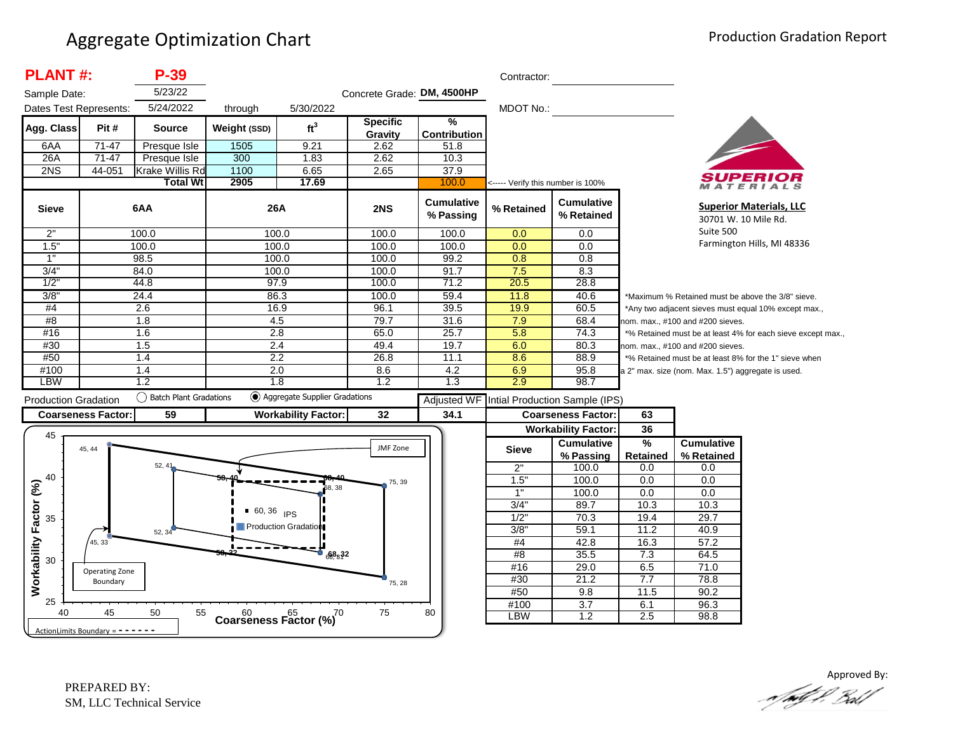| <b>PLANT#:</b>              |                                     | $P-39$                    |              |                                              |                            |                                | Contractor:                       |                                                               |                                  |                                                    |                                                             |
|-----------------------------|-------------------------------------|---------------------------|--------------|----------------------------------------------|----------------------------|--------------------------------|-----------------------------------|---------------------------------------------------------------|----------------------------------|----------------------------------------------------|-------------------------------------------------------------|
| Sample Date:                |                                     | 5/23/22                   |              |                                              | Concrete Grade: DM, 4500HP |                                |                                   |                                                               |                                  |                                                    |                                                             |
| Dates Test Represents:      |                                     | 5/24/2022                 | through      | 5/30/2022                                    |                            |                                | MDOT No.:                         |                                                               |                                  |                                                    |                                                             |
| Agg. Class                  | Pit#                                | <b>Source</b>             | Weight (SSD) | ft <sup>3</sup>                              | <b>Specific</b><br>Gravity | %<br><b>Contribution</b>       |                                   |                                                               |                                  |                                                    |                                                             |
| 6AA                         | $71 - 47$                           | Presque Isle              | 1505         | 9.21                                         | 2.62                       | 51.8                           |                                   |                                                               |                                  |                                                    |                                                             |
| 26A                         | 71-47                               | Presque Isle              | 300          | 1.83                                         | 2.62                       | 10.3                           |                                   |                                                               |                                  |                                                    |                                                             |
| 2NS                         | 44-051                              | <b>Krake Willis Rd</b>    | 1100         | 6.65                                         | 2.65                       | 37.9                           |                                   |                                                               |                                  |                                                    |                                                             |
|                             |                                     | <b>Total Wt</b>           | 2905         | 17.69                                        |                            | 100.0                          | <----- Verify this number is 100% |                                                               |                                  |                                                    | ATERIALS                                                    |
| <b>Sieve</b>                |                                     | 6AA                       | 26A          |                                              | 2NS                        | <b>Cumulative</b><br>% Passing | % Retained                        | <b>Cumulative</b><br>% Retained                               |                                  |                                                    | <b>Superior Materials, LLC</b><br>30701 W. 10 Mile Rd.      |
| 2"                          |                                     | 100.0                     |              | 100.0                                        | 100.0                      | 100.0                          | 0.0                               | 0.0                                                           |                                  | Suite 500                                          |                                                             |
| 1.5"                        |                                     | 100.0                     |              | 100.0                                        | 100.0                      | 100.0                          | 0.0                               | 0.0                                                           |                                  |                                                    | Farmington Hills, MI 48336                                  |
| 1"                          |                                     | 98.5                      | 100.0        |                                              | 100.0                      | 99.2                           | 0.8                               | 0.8                                                           |                                  |                                                    |                                                             |
| 3/4"                        |                                     | 84.0                      | 100.0        |                                              | 100.0                      | 91.7                           | 7.5                               | 8.3                                                           |                                  |                                                    |                                                             |
| 1/2                         |                                     | 44.8                      | 97.9         |                                              | 100.0                      | 71.2                           | 20.5                              | 28.8                                                          |                                  |                                                    |                                                             |
| 3/8"                        |                                     | 24.4                      |              | 86.3                                         | 100.0                      | 59.4                           | 11.8                              | 40.6                                                          |                                  |                                                    | *Maximum % Retained must be above the 3/8" sieve.           |
| #4                          |                                     | $\overline{2.6}$          |              | 16.9                                         | 96.1                       | 39.5                           | 19.9                              | 60.5                                                          |                                  |                                                    | *Any two adjacent sieves must equal 10% except max.,        |
| #8                          |                                     | 1.8                       | 4.5          |                                              | 79.7                       | 31.6                           | 7.9                               | 68.4                                                          |                                  | nom. max., #100 and #200 sieves.                   |                                                             |
| #16                         |                                     | 1.6                       | 2.8          |                                              | 65.0                       | 25.7                           | 5.8                               | 74.3                                                          |                                  |                                                    | *% Retained must be at least 4% for each sieve except max., |
| #30                         |                                     | 1.5                       |              | 2.4                                          |                            | 19.7                           | 6.0                               | 80.3                                                          | nom. max., #100 and #200 sieves. |                                                    |                                                             |
| #50                         |                                     | 1.4                       | 2.2          |                                              | 26.8                       | 11.1                           | 8.6                               | 88.9<br>*% Retained must be at least 8% for the 1" sieve when |                                  |                                                    |                                                             |
| #100                        |                                     | 1.4                       | 2.0          |                                              | 8.6                        | 4.2                            | 6.9                               | 95.8                                                          |                                  | a 2" max. size (nom. Max. 1.5") aggregate is used. |                                                             |
| <b>LBW</b>                  |                                     | 1.2                       | 1.8          |                                              | 1.2                        | 1.3                            | 2.9                               | 98.7                                                          |                                  |                                                    |                                                             |
| <b>Production Gradation</b> |                                     | () Batch Plant Gradations |              | <b>●</b> Aggregate Supplier Gradations       |                            | <b>Adjusted WF</b>             |                                   | Intial Production Sample (IPS)                                |                                  |                                                    |                                                             |
|                             | <b>Coarseness Factor:</b>           | 59                        |              | <b>Workability Factor:</b>                   | 32                         | 34.1                           |                                   | <b>Coarseness Factor:</b>                                     | 63                               |                                                    |                                                             |
|                             |                                     |                           |              |                                              |                            |                                |                                   | <b>Workability Factor:</b>                                    | 36                               |                                                    |                                                             |
| 45                          |                                     |                           |              |                                              |                            |                                |                                   | <b>Cumulative</b>                                             | %                                | <b>Cumulative</b>                                  |                                                             |
|                             | 45, 44                              |                           |              |                                              | JMF Zone                   |                                | <b>Sieve</b>                      | % Passing                                                     | Retained                         | % Retained                                         |                                                             |
|                             |                                     | 52, 41                    |              |                                              |                            |                                | 2"                                | 100.0                                                         | 0.0                              | 0.0                                                |                                                             |
| 40                          |                                     |                           |              |                                              | 75, 39                     |                                | 1.5"                              | 100.0                                                         | 0.0                              | 0.0                                                |                                                             |
|                             |                                     |                           |              | 68, 38                                       |                            |                                | 1"                                | 100.0                                                         | 0.0                              | 0.0                                                |                                                             |
|                             |                                     |                           |              |                                              |                            |                                | 3/4"                              | 89.7                                                          | 10.3                             | 10.3                                               |                                                             |
| 35                          |                                     |                           | $60, 36$ IPS |                                              |                            |                                | 1/2"                              | 70.3                                                          | 19.4                             | 29.7                                               |                                                             |
|                             |                                     | 52, 34                    |              | Production Gradation                         |                            |                                | 3/8"                              | 59.1                                                          | 11.2                             | 40.9                                               |                                                             |
| Workability Factor (%)      | 45, 33                              |                           |              |                                              |                            |                                | #4                                | 42.8                                                          | 16.3                             | 57.2                                               |                                                             |
|                             |                                     |                           |              | $\bullet$ $68.32$                            |                            |                                | #8                                | 35.5                                                          | 7.3                              | 64.5                                               |                                                             |
| 30                          |                                     |                           |              |                                              |                            |                                | #16                               | 29.0                                                          | 6.5                              | 71.0                                               |                                                             |
|                             | Operating Zone<br>Boundary          |                           |              |                                              |                            |                                | #30                               | 21.2                                                          | 7.7                              | 78.8                                               |                                                             |
|                             |                                     |                           |              |                                              | 75, 28                     |                                | #50                               | 9.8                                                           | 11.5                             | 90.2                                               |                                                             |
| 25                          |                                     |                           |              |                                              |                            |                                | #100                              | $\overline{3.7}$                                              | 6.1                              | 96.3                                               |                                                             |
| 40                          | 45                                  | 50<br>55                  |              | $60$ $65$ $65$ $70$<br>Coarseness Factor (%) | 75                         | 80                             | <b>LBW</b>                        | 1.2                                                           | 2.5                              | 98.8                                               |                                                             |
|                             | ActionLimits Boundary = $- - - - -$ |                           |              |                                              |                            |                                |                                   |                                                               |                                  |                                                    |                                                             |

Approved By: